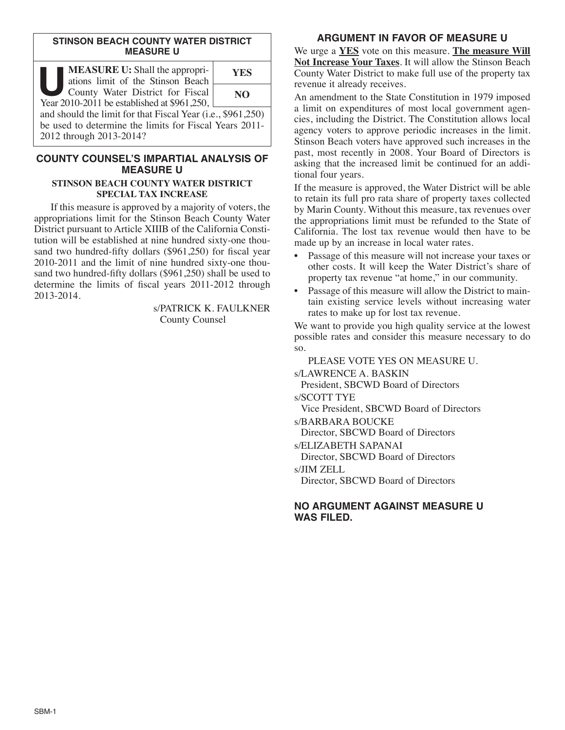### **STINSON BEACH COUNTY WATER DISTRICT MEASURE U**

| <b>MEASURE U:</b> Shall the appropri-<br>ations limit of the Stinson Beach      | YES |
|---------------------------------------------------------------------------------|-----|
| County Water District for Fiscal<br>Year 2010-2011 be established at \$961,250, | NO. |
| and should the limit for that Fiscal Year (i.e., \$961,250)                     |     |
| be used to determine the limits for Fiscal Years 2011-                          |     |
| 2012 through 2013-2014?                                                         |     |

# **COUNTY COUNSEL'S IMPARTIAL ANALYSIS OF MEASURE U**

#### **STINSON BEACH COUNTY WATER DISTRICT SPECIAL TAX INCREASE**

If this measure is approved by a majority of voters, the appropriations limit for the Stinson Beach County Water District pursuant to Article XIIIB of the California Constitution will be established at nine hundred sixty-one thousand two hundred-fifty dollars (\$961,250) for fiscal year 2010-2011 and the limit of nine hundred sixty-one thousand two hundred-fifty dollars (\$961,250) shall be used to determine the limits of fiscal years 2011-2012 through 2013-2014.

> s/PATRICK K. FAULKNER County Counsel

# **ARGUMENT IN FAVOR OF MEASURE U**

We urge a **YES** vote on this measure. **The measure Will Not Increase Your Taxes**. It will allow the Stinson Beach County Water District to make full use of the property tax revenue it already receives.

An amendment to the State Constitution in 1979 imposed a limit on expenditures of most local government agencies, including the District. The Constitution allows local agency voters to approve periodic increases in the limit. Stinson Beach voters have approved such increases in the past, most recently in 2008. Your Board of Directors is asking that the increased limit be continued for an additional four years.

If the measure is approved, the Water District will be able to retain its full pro rata share of property taxes collected by Marin County. Without this measure, tax revenues over the appropriations limit must be refunded to the State of California. The lost tax revenue would then have to be made up by an increase in local water rates.

- Passage of this measure will not increase your taxes or other costs. It will keep the Water District's share of property tax revenue "at home," in our community.
- Passage of this measure will allow the District to maintain existing service levels without increasing water rates to make up for lost tax revenue.

We want to provide you high quality service at the lowest possible rates and consider this measure necessary to do so.

PLEASE VOTE YES ON MEASURE U. s/LAWRENCE A. BASKIN President, SBCWD Board of Directors s/SCOTT TYE Vice President, SBCWD Board of Directors s/BARBARA BOUCKE Director, SBCWD Board of Directors s/ELIZABETH SAPANAI Director, SBCWD Board of Directors s/JIM ZELL Director, SBCWD Board of Directors

# **NO ARGUMENT AGAINST MEASURE U WAS FILED.**